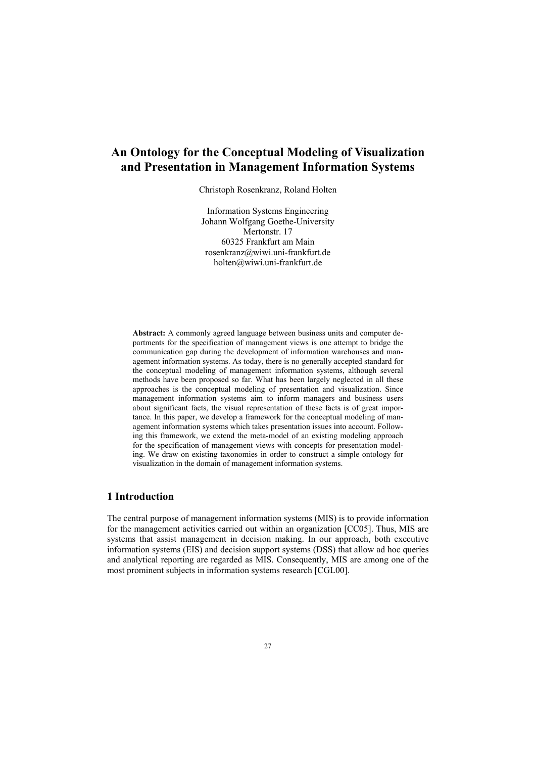# **An Ontology for the Conceptual Modeling of Visualization and Presentation in Management Information Systems**

Christoph Rosenkranz, Roland Holten

Information Systems Engineering Johann Wolfgang Goethe-University Mertonstr. 17 60325 Frankfurt am Main rosenkranz@wiwi.uni-frankfurt.de holten@wiwi.uni-frankfurt.de

**Abstract:** A commonly agreed language between business units and computer departments for the specification of management views is one attempt to bridge the communication gap during the development of information warehouses and management information systems. As today, there is no generally accepted standard for the conceptual modeling of management information systems, although several methods have been proposed so far. What has been largely neglected in all these approaches is the conceptual modeling of presentation and visualization. Since management information systems aim to inform managers and business users about significant facts, the visual representation of these facts is of great importance. In this paper, we develop a framework for the conceptual modeling of management information systems which takes presentation issues into account. Following this framework, we extend the meta-model of an existing modeling approach for the specification of management views with concepts for presentation modeling. We draw on existing taxonomies in order to construct a simple ontology for visualization in the domain of management information systems.

# **1 Introduction**

The central purpose of management information systems (MIS) is to provide information for the management activities carried out within an organization [CC05]. Thus, MIS are systems that assist management in decision making. In our approach, both executive information systems (EIS) and decision support systems (DSS) that allow ad hoc queries and analytical reporting are regarded as MIS. Consequently, MIS are among one of the most prominent subjects in information systems research [CGL00].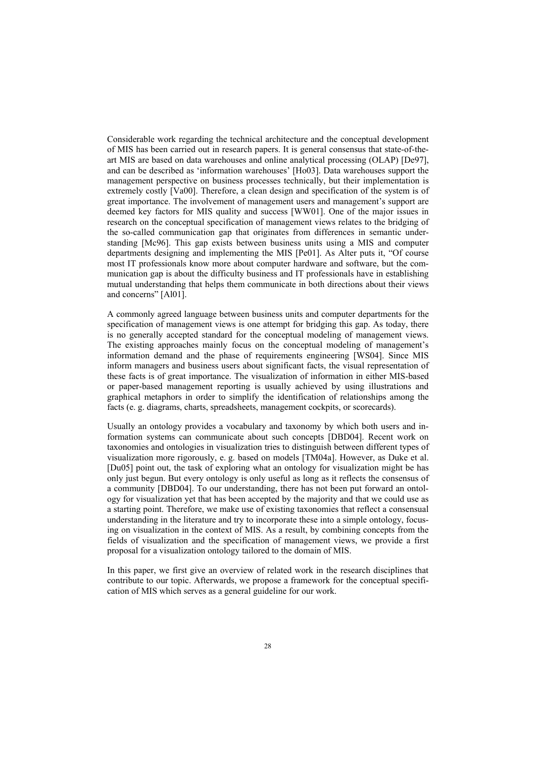Considerable work regarding the technical architecture and the conceptual development of MIS has been carried out in research papers. It is general consensus that state-of-theart MIS are based on data warehouses and online analytical processing (OLAP) [De97], and can be described as 'information warehouses' [Ho03]. Data warehouses support the management perspective on business processes technically, but their implementation is extremely costly [Va00]. Therefore, a clean design and specification of the system is of great importance. The involvement of management users and management's support are deemed key factors for MIS quality and success [WW01]. One of the major issues in research on the conceptual specification of management views relates to the bridging of the so-called communication gap that originates from differences in semantic understanding [Mc96]. This gap exists between business units using a MIS and computer departments designing and implementing the MIS [Pe01]. As Alter puts it, "Of course most IT professionals know more about computer hardware and software, but the communication gap is about the difficulty business and IT professionals have in establishing mutual understanding that helps them communicate in both directions about their views and concerns" [Al01].

A commonly agreed language between business units and computer departments for the specification of management views is one attempt for bridging this gap. As today, there is no generally accepted standard for the conceptual modeling of management views. The existing approaches mainly focus on the conceptual modeling of management's information demand and the phase of requirements engineering [WS04]. Since MIS inform managers and business users about significant facts, the visual representation of these facts is of great importance. The visualization of information in either MIS-based or paper-based management reporting is usually achieved by using illustrations and graphical metaphors in order to simplify the identification of relationships among the facts (e. g. diagrams, charts, spreadsheets, management cockpits, or scorecards).

Usually an ontology provides a vocabulary and taxonomy by which both users and information systems can communicate about such concepts [DBD04]. Recent work on taxonomies and ontologies in visualization tries to distinguish between different types of visualization more rigorously, e. g. based on models [TM04a]. However, as Duke et al. [Du05] point out, the task of exploring what an ontology for visualization might be has only just begun. But every ontology is only useful as long as it reflects the consensus of a community [DBD04]. To our understanding, there has not been put forward an ontology for visualization yet that has been accepted by the majority and that we could use as a starting point. Therefore, we make use of existing taxonomies that reflect a consensual understanding in the literature and try to incorporate these into a simple ontology, focusing on visualization in the context of MIS. As a result, by combining concepts from the fields of visualization and the specification of management views, we provide a first proposal for a visualization ontology tailored to the domain of MIS.

In this paper, we first give an overview of related work in the research disciplines that contribute to our topic. Afterwards, we propose a framework for the conceptual specification of MIS which serves as a general guideline for our work.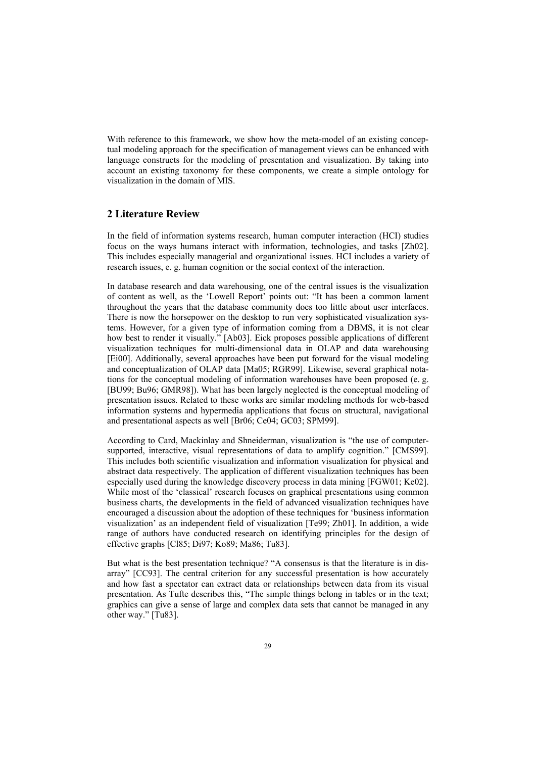With reference to this framework, we show how the meta-model of an existing conceptual modeling approach for the specification of management views can be enhanced with language constructs for the modeling of presentation and visualization. By taking into account an existing taxonomy for these components, we create a simple ontology for visualization in the domain of MIS.

## **2 Literature Review**

In the field of information systems research, human computer interaction (HCI) studies focus on the ways humans interact with information, technologies, and tasks [Zh02]. This includes especially managerial and organizational issues. HCI includes a variety of research issues, e. g. human cognition or the social context of the interaction.

In database research and data warehousing, one of the central issues is the visualization of content as well, as the 'Lowell Report' points out: "It has been a common lament throughout the years that the database community does too little about user interfaces. There is now the horsepower on the desktop to run very sophisticated visualization systems. However, for a given type of information coming from a DBMS, it is not clear how best to render it visually." [Ab03]. Eick proposes possible applications of different visualization techniques for multi-dimensional data in OLAP and data warehousing [Ei00]. Additionally, several approaches have been put forward for the visual modeling and conceptualization of OLAP data [Ma05; RGR99]. Likewise, several graphical notations for the conceptual modeling of information warehouses have been proposed (e. g. [BU99; Bu96; GMR98]). What has been largely neglected is the conceptual modeling of presentation issues. Related to these works are similar modeling methods for web-based information systems and hypermedia applications that focus on structural, navigational and presentational aspects as well [Br06; Ce04; GC03; SPM99].

According to Card, Mackinlay and Shneiderman, visualization is "the use of computersupported, interactive, visual representations of data to amplify cognition." [CMS99]. This includes both scientific visualization and information visualization for physical and abstract data respectively. The application of different visualization techniques has been especially used during the knowledge discovery process in data mining [FGW01; Ke02]. While most of the 'classical' research focuses on graphical presentations using common business charts, the developments in the field of advanced visualization techniques have encouraged a discussion about the adoption of these techniques for 'business information visualization' as an independent field of visualization [Te99; Zh01]. In addition, a wide range of authors have conducted research on identifying principles for the design of effective graphs [Cl85; Di97; Ko89; Ma86; Tu83].

But what is the best presentation technique? "A consensus is that the literature is in disarray" [CC93]. The central criterion for any successful presentation is how accurately and how fast a spectator can extract data or relationships between data from its visual presentation. As Tufte describes this, "The simple things belong in tables or in the text; graphics can give a sense of large and complex data sets that cannot be managed in any other way." [Tu83].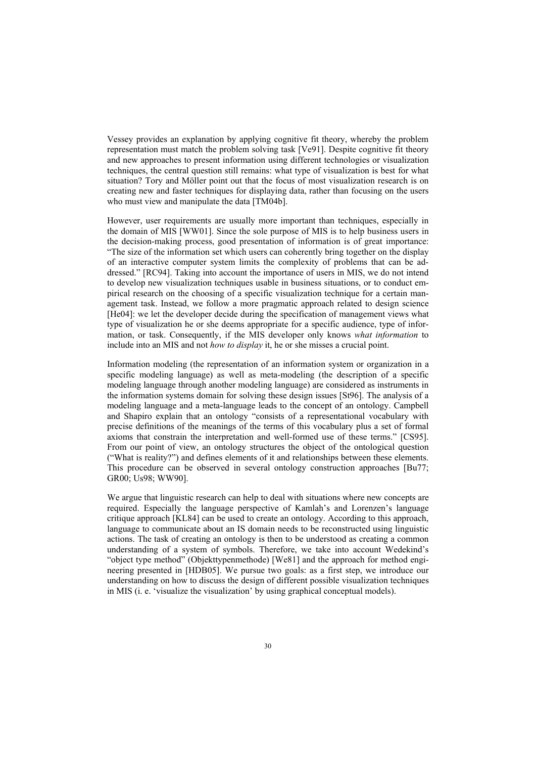Vessey provides an explanation by applying cognitive fit theory, whereby the problem representation must match the problem solving task [Ve91]. Despite cognitive fit theory and new approaches to present information using different technologies or visualization techniques, the central question still remains: what type of visualization is best for what situation? Tory and Möller point out that the focus of most visualization research is on creating new and faster techniques for displaying data, rather than focusing on the users who must view and manipulate the data [TM04b].

However, user requirements are usually more important than techniques, especially in the domain of MIS [WW01]. Since the sole purpose of MIS is to help business users in the decision-making process, good presentation of information is of great importance: "The size of the information set which users can coherently bring together on the display of an interactive computer system limits the complexity of problems that can be addressed." [RC94]. Taking into account the importance of users in MIS, we do not intend to develop new visualization techniques usable in business situations, or to conduct empirical research on the choosing of a specific visualization technique for a certain management task. Instead, we follow a more pragmatic approach related to design science [He04]: we let the developer decide during the specification of management views what type of visualization he or she deems appropriate for a specific audience, type of information, or task. Consequently, if the MIS developer only knows *what information* to include into an MIS and not *how to display* it, he or she misses a crucial point.

Information modeling (the representation of an information system or organization in a specific modeling language) as well as meta-modeling (the description of a specific modeling language through another modeling language) are considered as instruments in the information systems domain for solving these design issues [St96]. The analysis of a modeling language and a meta-language leads to the concept of an ontology. Campbell and Shapiro explain that an ontology "consists of a representational vocabulary with precise definitions of the meanings of the terms of this vocabulary plus a set of formal axioms that constrain the interpretation and well-formed use of these terms." [CS95]. From our point of view, an ontology structures the object of the ontological question ("What is reality?") and defines elements of it and relationships between these elements. This procedure can be observed in several ontology construction approaches [Bu77; GR00; Us98; WW90].

We argue that linguistic research can help to deal with situations where new concepts are required. Especially the language perspective of Kamlah's and Lorenzen's language critique approach [KL84] can be used to create an ontology. According to this approach, language to communicate about an IS domain needs to be reconstructed using linguistic actions. The task of creating an ontology is then to be understood as creating a common understanding of a system of symbols. Therefore, we take into account Wedekind's "object type method" (Objekttypenmethode) [We81] and the approach for method engineering presented in [HDB05]. We pursue two goals: as a first step, we introduce our understanding on how to discuss the design of different possible visualization techniques in MIS (i. e. 'visualize the visualization' by using graphical conceptual models).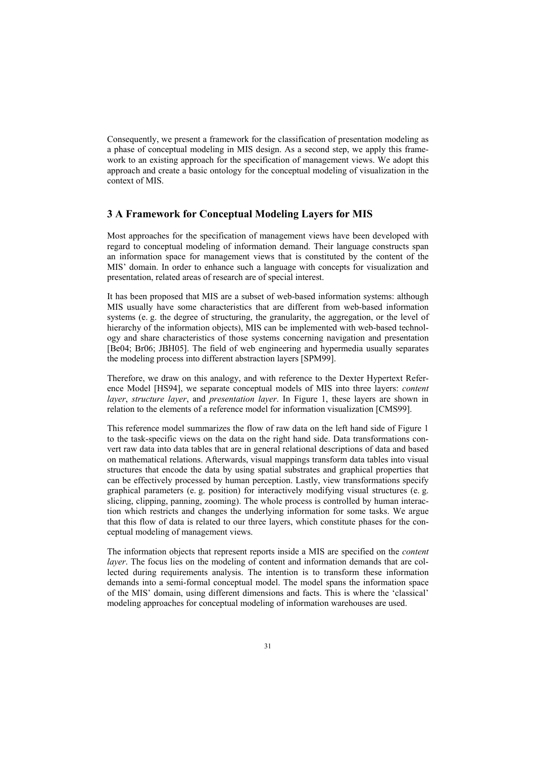Consequently, we present a framework for the classification of presentation modeling as a phase of conceptual modeling in MIS design. As a second step, we apply this framework to an existing approach for the specification of management views. We adopt this approach and create a basic ontology for the conceptual modeling of visualization in the context of MIS.

## **3AFramework for Conceptual Modeling Layers for MIS**

Most approaches for the specification of management views have been developed with regard to conceptual modeling of information demand. Their language constructs span an information space for management views that is constituted by the content of the MIS' domain. In order to enhance such a language with concepts for visualization and presentation, related areas of research are of special interest.

It has been proposed that MIS are a subset of web-based information systems: although MIS usually have some characteristics that are different from web-based information systems (e. g. the degree of structuring, the granularity, the aggregation, or the level of hierarchy of the information objects), MIS can be implemented with web-based technology and share characteristics of those systems concerning navigation and presentation [Be04; Br06; JBH05]. The field of web engineering and hypermedia usually separates the modeling process into different abstraction layers [SPM99].

Therefore, we draw on this analogy, and with reference to the Dexter Hypertext Reference Model [HS94], we separate conceptual models of MIS into three layers: *content layer*, *structure layer*, and *presentation layer*. In Figure 1, these layers are shown in relation to the elements of a reference model for information visualization [CMS99].

This reference model summarizes the flow of raw data on the left hand side of Figure 1 to the task-specific views on the data on the right hand side. Data transformations convert raw data into data tables that are in general relational descriptions of data and based on mathematical relations. Afterwards, visual mappings transform data tables into visual structures that encode the data by using spatial substrates and graphical properties that can be effectively processed by human perception. Lastly, view transformations specify graphical parameters (e. g. position) for interactively modifying visual structures (e. g. slicing, clipping, panning, zooming). The whole process is controlled by human interaction which restricts and changes the underlying information for some tasks. We argue that this flow of data is related to our three layers, which constitute phases for the conceptual modeling of management views.

The information objects that represent reports inside a MIS are specified on the *content layer*. The focus lies on the modeling of content and information demands that are collected during requirements analysis. The intention is to transform these information demands into a semi-formal conceptual model. The model spans the information space of the MIS' domain, using different dimensions and facts. This is where the 'classical' modeling approaches for conceptual modeling of information warehouses are used.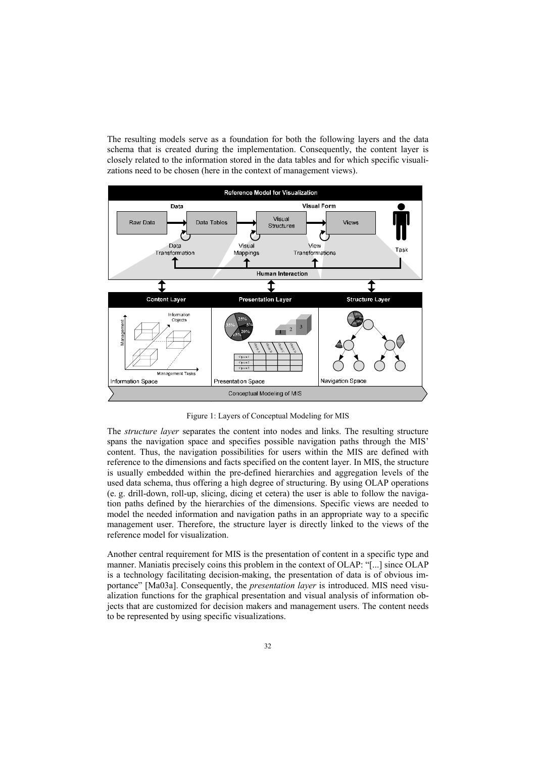The resulting models serve as a foundation for both the following layers and the data schema that is created during the implementation. Consequently, the content layer is closely related to the information stored in the data tables and for which specific visualizations need to be chosen (here in the context of management views).



Figure 1: Layers of Conceptual Modeling for MIS

The *structure layer* separates the content into nodes and links. The resulting structure spans the navigation space and specifies possible navigation paths through the MIS' content. Thus, the navigation possibilities for users within the MIS are defined with reference to the dimensions and facts specified on the content layer. In MIS, the structure is usually embedded within the pre-defined hierarchies and aggregation levels of the used data schema, thus offering a high degree of structuring. By using OLAP operations (e. g. drill-down, roll-up, slicing, dicing et cetera) the user is able to follow the navigation paths defined by the hierarchies of the dimensions. Specific views are needed to model the needed information and navigation paths in an appropriate way to a specific management user. Therefore, the structure layer is directly linked to the views of the reference model for visualization.

Another central requirement for MIS is the presentation of content in a specific type and manner. Maniatis precisely coins this problem in the context of OLAP: "[...] since OLAP is a technology facilitating decision-making, the presentation of data is of obvious importance" [Ma03a]. Consequently, the *presentation layer* is introduced. MIS need visualization functions for the graphical presentation and visual analysis of information objects that are customized for decision makers and management users. The content needs to be represented by using specific visualizations.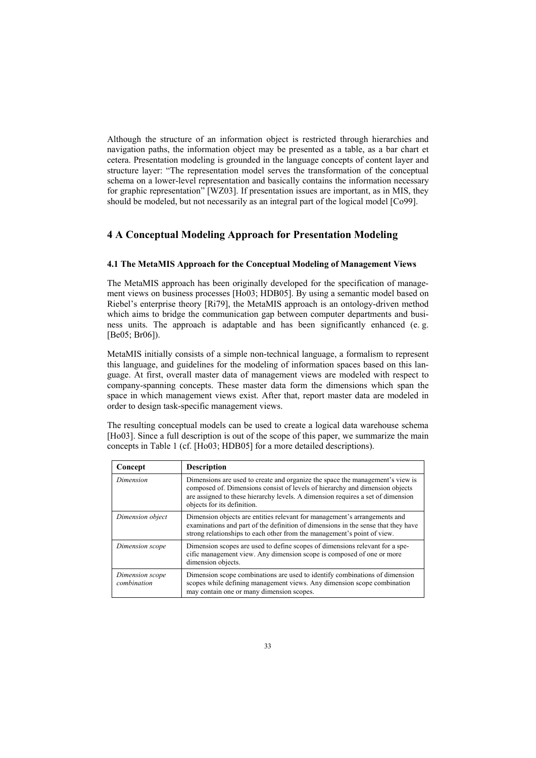Although the structure of an information object is restricted through hierarchies and navigation paths, the information object may be presented as a table, as a bar chart et cetera. Presentation modeling is grounded in the language concepts of content layer and structure layer: "The representation model serves the transformation of the conceptual schema on a lower-level representation and basically contains the information necessary for graphic representation" [WZ03]. If presentation issues are important, as in MIS, they should be modeled, but not necessarily as an integral part of the logical model [Co99].

# **4AConceptual Modeling Approach for Presentation Modeling**

#### **4.1 The MetaMIS Approach for the Conceptual Modeling of Management Views**

The MetaMIS approach has been originally developed for the specification of management views on business processes [Ho03; HDB05]. By using a semantic model based on Riebel's enterprise theory [Ri79], the MetaMIS approach is an ontology-driven method which aims to bridge the communication gap between computer departments and business units. The approach is adaptable and has been significantly enhanced (e. g. [Be05; Br06]).

MetaMIS initially consists of a simple non-technical language, a formalism to represent this language, and guidelines for the modeling of information spaces based on this language. At first, overall master data of management views are modeled with respect to company-spanning concepts. These master data form the dimensions which span the space in which management views exist. After that, report master data are modeled in order to design task-specific management views.

The resulting conceptual models can be used to create a logical data warehouse schema [Ho03]. Since a full description is out of the scope of this paper, we summarize the main concepts in Table 1 (cf. [Ho03; HDB05] for a more detailed descriptions).

| Concept                        | <b>Description</b>                                                                                                                                                                                                                                                              |
|--------------------------------|---------------------------------------------------------------------------------------------------------------------------------------------------------------------------------------------------------------------------------------------------------------------------------|
| Dimension                      | Dimensions are used to create and organize the space the management's view is<br>composed of. Dimensions consist of levels of hierarchy and dimension objects<br>are assigned to these hierarchy levels. A dimension requires a set of dimension<br>objects for its definition. |
| Dimension object               | Dimension objects are entities relevant for management's arrangements and<br>examinations and part of the definition of dimensions in the sense that they have<br>strong relationships to each other from the management's point of view.                                       |
| Dimension scope                | Dimension scopes are used to define scopes of dimensions relevant for a spe-<br>cific management view. Any dimension scope is composed of one or more<br>dimension objects.                                                                                                     |
| Dimension scope<br>combination | Dimension scope combinations are used to identify combinations of dimension<br>scopes while defining management views. Any dimension scope combination<br>may contain one or many dimension scopes.                                                                             |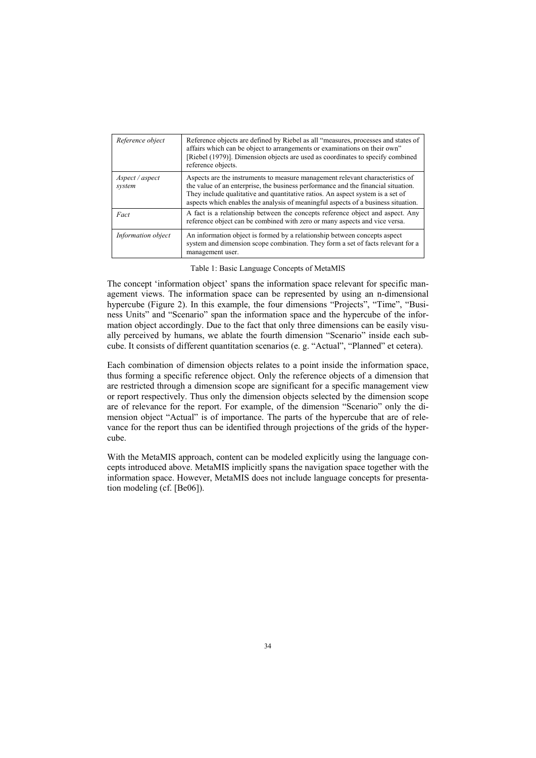| Reference object          | Reference objects are defined by Riebel as all "measures, processes and states of<br>affairs which can be object to arrangements or examinations on their own"<br>[Riebel (1979)]. Dimension objects are used as coordinates to specify combined<br>reference objects.                                                                    |
|---------------------------|-------------------------------------------------------------------------------------------------------------------------------------------------------------------------------------------------------------------------------------------------------------------------------------------------------------------------------------------|
| Aspect / aspect<br>system | Aspects are the instruments to measure management relevant characteristics of<br>the value of an enterprise, the business performance and the financial situation.<br>They include qualitative and quantitative ratios. An aspect system is a set of<br>aspects which enables the analysis of meaningful aspects of a business situation. |
| Fact                      | A fact is a relationship between the concepts reference object and aspect. Any<br>reference object can be combined with zero or many aspects and vice versa.                                                                                                                                                                              |
| Information object        | An information object is formed by a relationship between concepts aspect<br>system and dimension scope combination. They form a set of facts relevant for a<br>management user.                                                                                                                                                          |

Table 1: Basic Language Concepts of MetaMIS

The concept 'information object' spans the information space relevant for specific management views. The information space can be represented by using an n-dimensional hypercube (Figure 2). In this example, the four dimensions "Projects", "Time", "Business Units" and "Scenario" span the information space and the hypercube of the information object accordingly. Due to the fact that only three dimensions can be easily visually perceived by humans, we ablate the fourth dimension "Scenario" inside each subcube. It consists of different quantitation scenarios (e. g. "Actual", "Planned" et cetera).

Each combination of dimension objects relates to a point inside the information space, thus forming a specific reference object. Only the reference objects of a dimension that are restricted through a dimension scope are significant for a specific management view or report respectively. Thus only the dimension objects selected by the dimension scope are of relevance for the report. For example, of the dimension "Scenario" only the dimension object "Actual" is of importance. The parts of the hypercube that are of relevance for the report thus can be identified through projections of the grids of the hypercube.

With the MetaMIS approach, content can be modeled explicitly using the language concepts introduced above. MetaMIS implicitly spans the navigation space together with the information space. However, MetaMIS does not include language concepts for presentation modeling (cf. [Be06]).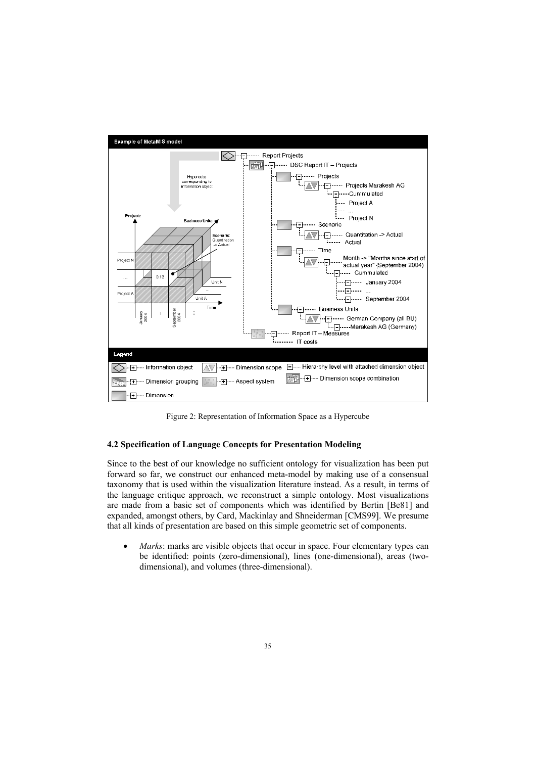

Figure 2: Representation of Information Space as a Hypercube

#### **4.2 Specification of Language Concepts for Presentation Modeling**

Since to the best of our knowledge no sufficient ontology for visualization has been put forward so far, we construct our enhanced meta-model by making use of a consensual taxonomy that is used within the visualization literature instead. As a result, in terms of the language critique approach, we reconstruct a simple ontology. Most visualizations are made from a basic set of components which was identified by Bertin [Be81] and expanded, amongst others, by Card, Mackinlay and Shneiderman [CMS99]. We presume that all kinds of presentation are based on this simple geometric set of components.

• *Marks*: marks are visible objects that occur in space. Four elementary types can be identified: points (zero-dimensional), lines (one-dimensional), areas (twodimensional), and volumes (three-dimensional).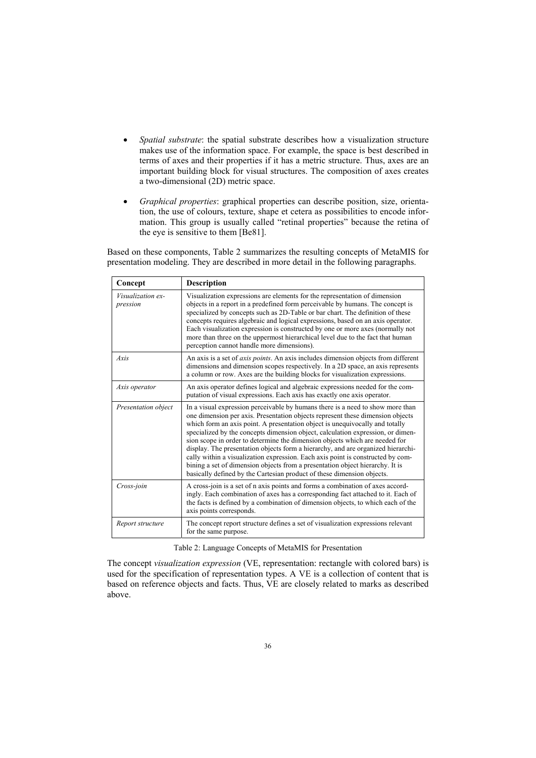- *Spatial substrate*: the spatial substrate describes how a visualization structure makes use of the information space. For example, the space is best described in terms of axes and their properties if it has a metric structure. Thus, axes are an important building block for visual structures. The composition of axes creates a two-dimensional (2D) metric space.
- x *Graphical properties*: graphical properties can describe position, size, orientation, the use of colours, texture, shape et cetera as possibilities to encode information. This group is usually called "retinal properties" because the retina of the eye is sensitive to them [Be81].

Based on these components, Table 2 summarizes the resulting concepts of MetaMIS for presentation modeling. They are described in more detail in the following paragraphs.

| Concept                       | Description                                                                                                                                                                                                                                                                                                                                                                                                                                                                                                                                                                                                                                                                                                                                          |
|-------------------------------|------------------------------------------------------------------------------------------------------------------------------------------------------------------------------------------------------------------------------------------------------------------------------------------------------------------------------------------------------------------------------------------------------------------------------------------------------------------------------------------------------------------------------------------------------------------------------------------------------------------------------------------------------------------------------------------------------------------------------------------------------|
| Visualization ex-<br>pression | Visualization expressions are elements for the representation of dimension<br>objects in a report in a predefined form perceivable by humans. The concept is<br>specialized by concepts such as 2D-Table or bar chart. The definition of these<br>concepts requires algebraic and logical expressions, based on an axis operator.<br>Each visualization expression is constructed by one or more axes (normally not<br>more than three on the uppermost hierarchical level due to the fact that human<br>perception cannot handle more dimensions).                                                                                                                                                                                                  |
| Axis                          | An axis is a set of <i>axis points</i> . An axis includes dimension objects from different<br>dimensions and dimension scopes respectively. In a 2D space, an axis represents<br>a column or row. Axes are the building blocks for visualization expressions.                                                                                                                                                                                                                                                                                                                                                                                                                                                                                        |
| Axis operator                 | An axis operator defines logical and algebraic expressions needed for the com-<br>putation of visual expressions. Each axis has exactly one axis operator.                                                                                                                                                                                                                                                                                                                                                                                                                                                                                                                                                                                           |
| Presentation object           | In a visual expression perceivable by humans there is a need to show more than<br>one dimension per axis. Presentation objects represent these dimension objects<br>which form an axis point. A presentation object is unequivocally and totally<br>specialized by the concepts dimension object, calculation expression, or dimen-<br>sion scope in order to determine the dimension objects which are needed for<br>display. The presentation objects form a hierarchy, and are organized hierarchi-<br>cally within a visualization expression. Each axis point is constructed by com-<br>bining a set of dimension objects from a presentation object hierarchy. It is<br>basically defined by the Cartesian product of these dimension objects. |
| Cross-join                    | A cross-join is a set of n axis points and forms a combination of axes accord-<br>ingly. Each combination of axes has a corresponding fact attached to it. Each of<br>the facts is defined by a combination of dimension objects, to which each of the<br>axis points corresponds.                                                                                                                                                                                                                                                                                                                                                                                                                                                                   |
| Report structure              | The concept report structure defines a set of visualization expressions relevant<br>for the same purpose.                                                                                                                                                                                                                                                                                                                                                                                                                                                                                                                                                                                                                                            |

Table 2: Language Concepts of MetaMIS for Presentation

The concept *visualization expression* (VE, representation: rectangle with colored bars) is used for the specification of representation types. A VE is a collection of content that is based on reference objects and facts. Thus, VE are closely related to marks as described above.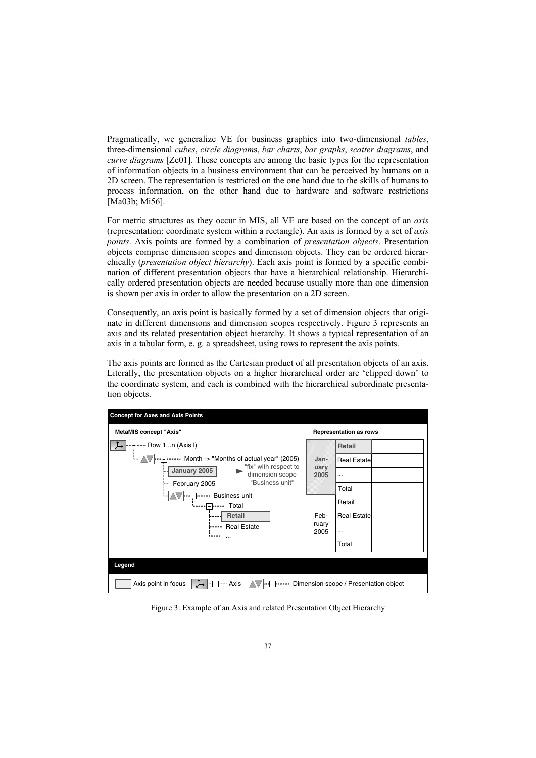Pragmatically, we generalize VE for business graphics into two-dimensional *tables*, three-dimensional *cubes*, *circle diagram*s, *bar charts*, *bar graphs*, *scatter diagrams*, and *curve diagrams* [Ze01]. These concepts are among the basic types for the representation of information objects in a business environment that can be perceived by humans on a 2D screen. The representation is restricted on the one hand due to the skills of humans to process information, on the other hand due to hardware and software restrictions [Ma03b; Mi56].

For metric structures as they occur in MIS, all VE are based on the concept of an *axis* (representation: coordinate system within a rectangle). An axis is formed by a set of *axis points*. Axis points are formed by a combination of *presentation objects*. Presentation objects comprise dimension scopes and dimension objects. They can be ordered hierarchically (*presentation object hierarchy*). Each axis point is formed by a specific combination of different presentation objects that have a hierarchical relationship. Hierarchically ordered presentation objects are needed because usually more than one dimension is shown per axis in order to allow the presentation on a 2D screen.

Consequently, an axis point is basically formed by a set of dimension objects that originate in different dimensions and dimension scopes respectively. Figure 3 represents an axis and its related presentation object hierarchy. It showsatypical representation of an axis in a tabular form, e. g. a spreadsheet, using rows to represent the axis points.

The axis points are formed as the Cartesian product of all presentation objects of an axis. Literally, the presentation objects on a higher hierarchical order are 'clipped down' to the coordinate system, and each is combined with the hierarchical subordinate presentation objects.

| <b>Concept for Axes and Axis Points</b>                                                                                                                                  |                      |                               |  |  |  |
|--------------------------------------------------------------------------------------------------------------------------------------------------------------------------|----------------------|-------------------------------|--|--|--|
| <b>MetaMIS concept "Axis"</b>                                                                                                                                            |                      | <b>Representation as rows</b> |  |  |  |
| Row 1n (Axis I)                                                                                                                                                          |                      | Retail                        |  |  |  |
| Month -> "Months of actual year" (2005)<br>"fix" with respect to<br>January 2005<br>dimension scope<br>"Business unit"<br>February 2005<br><b>Business unit</b><br>Total | Jan-<br>uary<br>2005 | <b>Real Estatel</b>           |  |  |  |
|                                                                                                                                                                          |                      |                               |  |  |  |
|                                                                                                                                                                          |                      | Total                         |  |  |  |
|                                                                                                                                                                          |                      | Retail                        |  |  |  |
| <b>Retail</b><br><b>Real Estate</b><br>                                                                                                                                  |                      | <b>Real Estatel</b>           |  |  |  |
|                                                                                                                                                                          |                      |                               |  |  |  |
|                                                                                                                                                                          |                      | Total                         |  |  |  |
|                                                                                                                                                                          |                      |                               |  |  |  |
| Legend                                                                                                                                                                   |                      |                               |  |  |  |
| Axis point in focus<br>- Axis<br>Dimension scope / Presentation object                                                                                                   |                      |                               |  |  |  |

Figure 3: Example of an Axis and related Presentation Object Hierarchy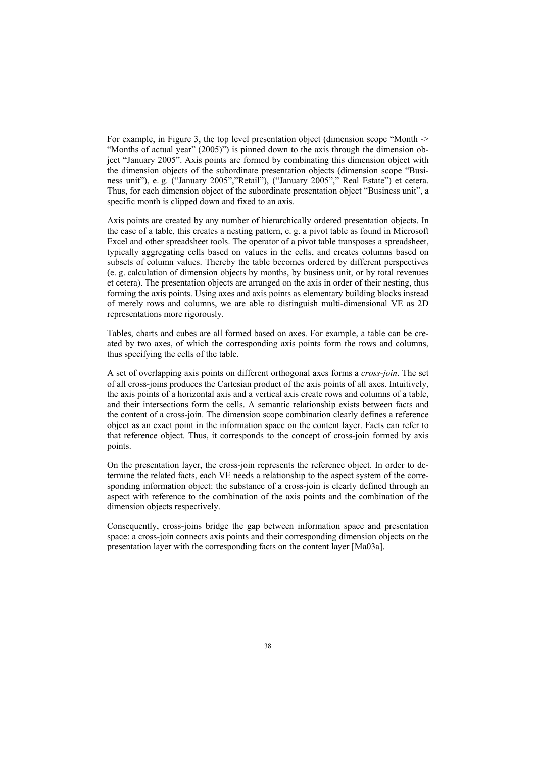For example, in Figure 3, the top level presentation object (dimension scope "Month -> "Months of actual year" (2005)") is pinned down to the axis through the dimension object "January 2005". Axis points are formed by combinating this dimension object with the dimension objects of the subordinate presentation objects (dimension scope "Business unit"), e. g. ("January 2005","Retail"), ("January 2005"," Real Estate") et cetera. Thus, for each dimension object of the subordinate presentation object "Business unit", a specific month is clipped down and fixed to an axis.

Axis points are created by any number of hierarchically ordered presentation objects. In the case of a table, this creates a nesting pattern, e. g. a pivot table as found in Microsoft Excel and other spreadsheet tools. The operator of a pivot table transposes a spreadsheet, typically aggregating cells based on values in the cells, and creates columns based on subsets of column values. Thereby the table becomes ordered by different perspectives (e. g. calculation of dimension objects by months, by business unit, or by total revenues et cetera). The presentation objects are arranged on the axis in order of their nesting, thus forming the axis points. Using axes and axis points as elementary building blocks instead of merely rows and columns, we are able to distinguish multi-dimensional VE as 2D representations more rigorously.

Tables, charts and cubes are all formed based on axes. For example, a table can be created by two axes, of which the corresponding axis points form the rows and columns, thus specifying the cells of the table.

A set of overlapping axis points on different orthogonal axes forms a *cross-join*. The set of all cross-joins produces the Cartesian product of the axis points of all axes. Intuitively, the axis points of a horizontal axis and a vertical axis create rows and columns of a table, and their intersections form the cells. A semantic relationship exists between facts and the content of a cross-join. The dimension scope combination clearly defines a reference object as an exact point in the information space on the content layer. Facts can refer to that reference object. Thus, it corresponds to the concept of cross-join formed by axis points.

On the presentation layer, the cross-join represents the reference object. In order to determine the related facts, each VE needs a relationship to the aspect system of the corresponding information object: the substance of a cross-join is clearly defined through an aspect with reference to the combination of the axis points and the combination of the dimension objects respectively.

Consequently, cross-joins bridge the gap between information space and presentation space: a cross-join connects axis points and their corresponding dimension objects on the presentation layer with the corresponding facts on the content layer [Ma03a].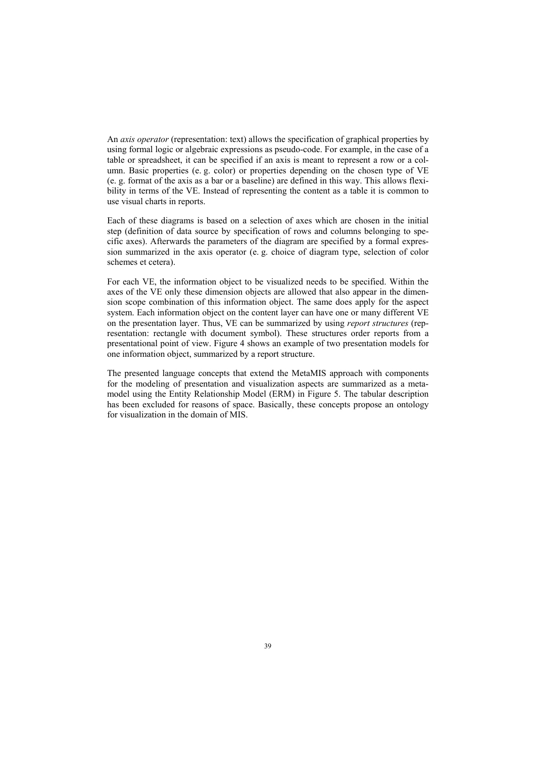An *axis operator* (representation: text) allows the specification of graphical properties by using formal logic or algebraic expressions as pseudo-code. For example, in the case of a table or spreadsheet, it can be specified if an axis is meant to represent a row or a column. Basic properties (e. g. color) or properties depending on the chosen type of VE (e. g. format of the axis as a bar or a baseline) are defined in this way. This allows flexibility in terms of the VE. Instead of representing the content as a table it is common to use visual charts in reports.

Each of these diagrams is based on a selection of axes which are chosen in the initial step (definition of data source by specification of rows and columns belonging to specific axes). Afterwards the parameters of the diagram are specified by a formal expression summarized in the axis operator (e. g. choice of diagram type, selection of color schemes et cetera).

For each VE, the information object to be visualized needs to be specified. Within the axes of the VE only these dimension objects are allowed that also appear in the dimension scope combination of this information object. The same does apply for the aspect system. Each information object on the content layer can have one or many different VE on the presentation layer. Thus, VE can be summarized by using *report structures* (representation: rectangle with document symbol). These structures order reports from a presentational point of view. Figure 4 shows an example of two presentation models for one information object, summarized by a report structure.

The presented language concepts that extend the MetaMIS approach with components for the modeling of presentation and visualization aspects are summarized as a metamodel using the Entity Relationship Model (ERM) in Figure 5. The tabular description has been excluded for reasons of space. Basically, these concepts propose an ontology for visualization in the domain of MIS.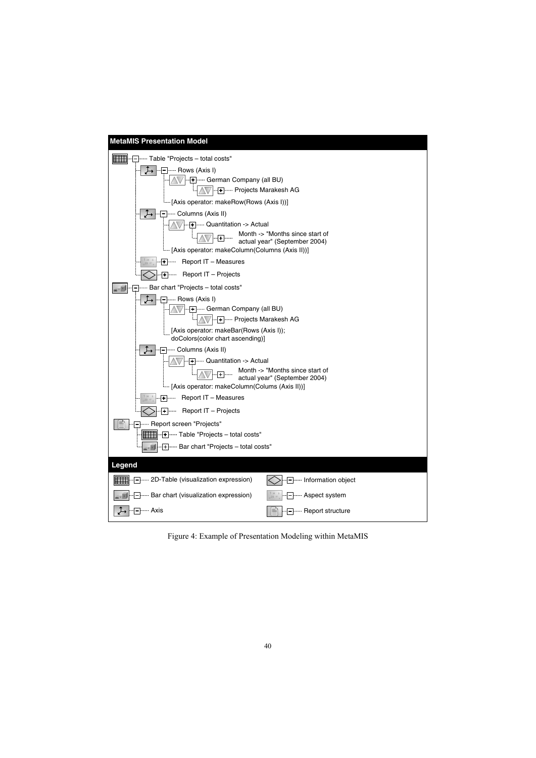

Figure 4: Example of Presentation Modeling within MetaMIS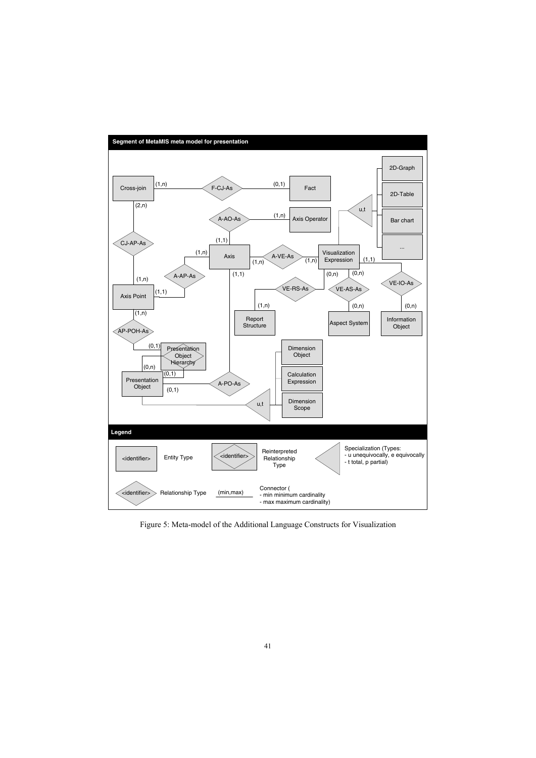

Figure 5: Meta-model of the Additional Language Constructs for Visualization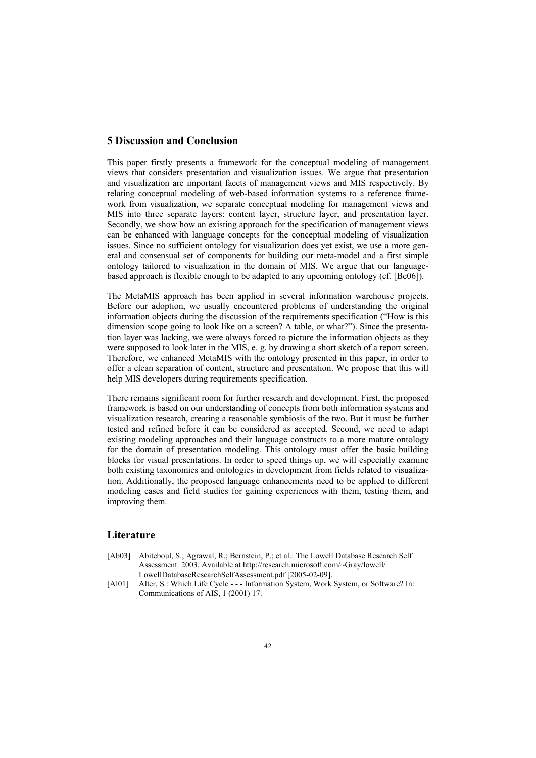# **5 Discussion and Conclusion**

This paper firstly presents a framework for the conceptual modeling of management views that considers presentation and visualization issues. We argue that presentation and visualization are important facets of management views and MIS respectively. By relating conceptual modeling of web-based information systems to a reference framework from visualization, we separate conceptual modeling for management views and MIS into three separate layers: content layer, structure layer, and presentation layer. Secondly, we show how an existing approach for the specification of management views can be enhanced with language concepts for the conceptual modeling of visualization issues. Since no sufficient ontology for visualization does yet exist, we use a more general and consensual set of components for building our meta-model and a first simple ontology tailored to visualization in the domain of MIS. We argue that our languagebased approach is flexible enough to be adapted to any upcoming ontology (cf. [Be06]).

The MetaMIS approach has been applied in several information warehouse projects. Before our adoption, we usually encountered problems of understanding the original information objects during the discussion of the requirements specification ("How is this dimension scope going to look like on a screen? A table, or what?"). Since the presentation layer was lacking, we were always forced to picture the information objects as they were supposed to look later in the MIS, e. g. by drawing a short sketch of a report screen. Therefore, we enhanced MetaMIS with the ontology presented in this paper, in order to offer a clean separation of content, structure and presentation. We propose that this will help MIS developers during requirements specification.

There remains significant room for further research and development. First, the proposed framework is based on our understanding of concepts from both information systems and visualization research, creating a reasonable symbiosis of the two. But it must be further tested and refined before it can be considered as accepted. Second, we need to adapt existing modeling approaches and their language constructs to a more mature ontology for the domain of presentation modeling. This ontology must offer the basic building blocks for visual presentations. In order to speed things up, we will especially examine both existing taxonomies and ontologies in development from fields related to visualization. Additionally, the proposed language enhancements need to be applied to different modeling cases and field studies for gaining experiences with them, testing them, and improving them.

## **Literature**

- [Ab03] Abiteboul, S.; Agrawal, R.; Bernstein, P.; et al.: The Lowell Database Research Self Assessment. 2003. Available at http://research.microsoft.com/~Gray/lowell/ LowellDatabaseResearchSelfAssessment.pdf [2005-02-09].
- [Al01] Alter, S.: Which Life Cycle - Information System, Work System, or Software? In: Communications of AIS, 1 (2001) 17.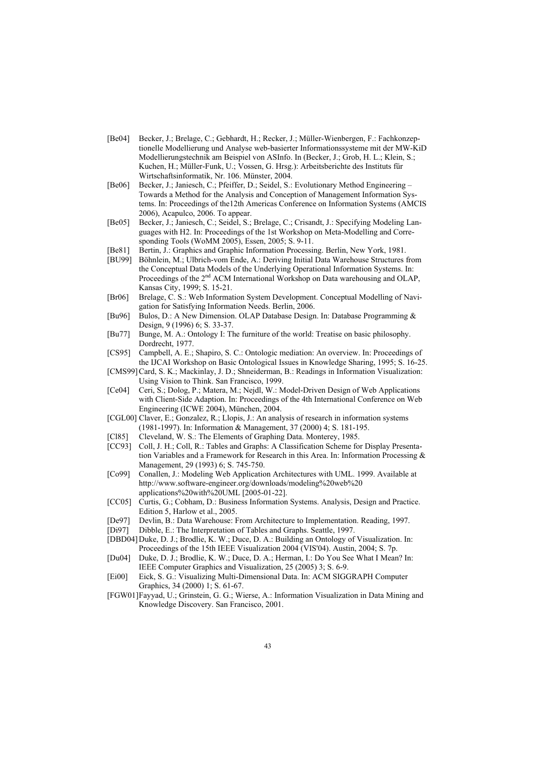- [Be04] Becker, J.; Brelage, C.; Gebhardt, H.; Recker, J.; Müller-Wienbergen, F.: Fachkonzeptionelle Modellierung und Analyse web-basierter Informationssysteme mit der MW-KiD Modellierungstechnik am Beispiel von ASInfo. In (Becker, J.; Grob, H. L.; Klein, S.; Kuchen, H.; Müller-Funk, U.; Vossen, G. Hrsg.): Arbeitsberichte des Instituts für Wirtschaftsinformatik, Nr. 106. Münster, 2004.
- [Be06] Becker, J.; Janiesch, C.; Pfeiffer, D.; Seidel, S.: Evolutionary Method Engineering Towards a Method for the Analysis and Conception of Management Information Systems. In: Proceedings of the12th Americas Conference on Information Systems (AMCIS 2006), Acapulco, 2006. To appear.
- [Be05] Becker, J.; Janiesch, C.; Seidel, S.; Brelage, C.; Crisandt, J.: Specifying Modeling Languages with H2. In: Proceedings of the 1st Workshop on Meta-Modelling and Corresponding Tools (WoMM 2005), Essen, 2005; S. 9-11.
- [Be81] Bertin, J.: Graphics and Graphic Information Processing. Berlin, New York, 1981.
- [BU99] Böhnlein, M.; Ulbrich-vom Ende, A.: Deriving Initial Data Warehouse Structures from the Conceptual Data Models of the Underlying Operational Information Systems. In: Proceedings of the  $2<sup>nd</sup>$  ACM International Workshop on Data warehousing and OLAP, Kansas City, 1999; S. 15-21.
- [Br06] Brelage, C. S.: Web Information System Development. Conceptual Modelling of Navigation for Satisfying Information Needs. Berlin, 2006.
- [Bu96] Bulos, D.: A New Dimension. OLAP Database Design. In: Database Programming & Design, 9 (1996) 6; S. 33-37.
- [Bu77] Bunge, M. A.: Ontology I: The furniture of the world: Treatise on basic philosophy. Dordrecht, 1977.
- [CS95] Campbell, A. E.; Shapiro, S. C.: Ontologic mediation: An overview. In: Proceedings of the IJCAI Workshop on Basic Ontological Issues in Knowledge Sharing, 1995; S. 16-25.
- [CMS99]Card, S. K.; Mackinlay, J. D.; Shneiderman, B.: Readings in Information Visualization: Using Vision to Think. San Francisco, 1999.
- [Ce04] Ceri, S.; Dolog, P.; Matera, M.; Nejdl, W.: Model-Driven Design of Web Applications with Client-Side Adaption. In: Proceedings of the 4th International Conference on Web Engineering (ICWE 2004), München, 2004.
- [CGL00] Claver, E.; Gonzalez, R.; Llopis, J.: An analysis of research in information systems (1981-1997). In: Information & Management, 37 (2000) 4; S. 181-195.
- [Cl85] Cleveland, W. S.: The Elements of Graphing Data. Monterey, 1985.
- [CC93] Coll, J. H.; Coll, R.: Tables and Graphs: A Classification Scheme for Display Presentation Variables and a Framework for Research in this Area. In: Information Processing & Management, 29 (1993) 6; S. 745-750.
- [Co99] Conallen, J.: Modeling Web Application Architectures with UML. 1999. Available at http://www.software-engineer.org/downloads/modeling%20web%20 applications%20with%20UML [2005-01-22].
- [CC05] Curtis, G.; Cobham, D.: Business Information Systems. Analysis, Design and Practice. Edition 5, Harlow et al., 2005.
- [De97] Devlin, B.: Data Warehouse: From Architecture to Implementation. Reading, 1997.
- [Di97] Dibble, E.: The Interpretation of Tables and Graphs. Seattle, 1997.
- [DBD04]Duke, D. J.; Brodlie, K. W.; Duce, D. A.: Building an Ontology of Visualization. In: Proceedings of the 15th IEEE Visualization 2004 (VIS'04). Austin, 2004; S. 7p.
- [Du04] Duke, D. J.; Brodlie, K. W.; Duce, D. A.; Herman, I.: Do You See What I Mean? In: IEEE Computer Graphics and Visualization, 25 (2005) 3; S. 6-9.
- [Ei00] Eick, S. G.: Visualizing Multi-Dimensional Data. In: ACM SIGGRAPH Computer Graphics, 34 (2000) 1; S. 61-67.
- [FGW01]Fayyad, U.; Grinstein, G. G.; Wierse, A.: Information Visualization in Data Mining and Knowledge Discovery. San Francisco, 2001.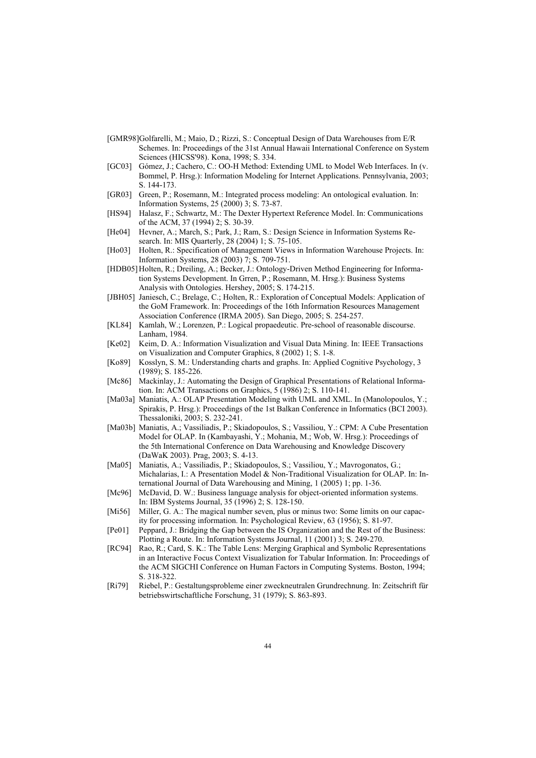- [GMR98]Golfarelli, M.; Maio, D.; Rizzi, S.: Conceptual Design of Data Warehouses from E/R Schemes. In: Proceedings of the 31st Annual Hawaii International Conference on System Sciences (HICSS'98). Kona, 1998; S. 334.
- [GC03] Gómez, J.; Cachero, C.: OO-H Method: Extending UML to Model Web Interfaces. In (v. Bommel, P. Hrsg.): Information Modeling for Internet Applications. Pennsylvania, 2003; S. 144-173.
- [GR03] Green, P.; Rosemann, M.: Integrated process modeling: An ontological evaluation. In: Information Systems, 25 (2000) 3; S. 73-87.
- [HS94] Halasz, F.; Schwartz, M.: The Dexter Hypertext Reference Model. In: Communications of the ACM, 37 (1994) 2; S. 30-39.
- [He04] Hevner, A.; March, S.; Park, J.; Ram, S.: Design Science in Information Systems Research. In: MIS Quarterly, 28 (2004) 1; S. 75-105.
- [Ho03] Holten, R.: Specification of Management Views in Information Warehouse Projects. In: Information Systems, 28 (2003) 7; S. 709-751.
- [HDB05] Holten, R.; Dreiling, A.; Becker, J.: Ontology-Driven Method Engineering for Information Systems Development. In Grren, P.; Rosemann, M. Hrsg.): Business Systems Analysis with Ontologies. Hershey, 2005; S. 174-215.
- [JBH05] Janiesch, C.; Brelage, C.; Holten, R.: Exploration of Conceptual Models: Application of the GoM Framework. In: Proceedings of the 16th Information Resources Management Association Conference (IRMA 2005). San Diego, 2005; S. 254-257.
- [KL84] Kamlah, W.; Lorenzen, P.: Logical propaedeutic. Pre-school of reasonable discourse. Lanham, 1984.
- [Ke02] Keim, D. A.: Information Visualization and Visual Data Mining. In: IEEE Transactions on Visualization and Computer Graphics, 8 (2002) 1; S. 1-8.
- [Ko89] Kosslyn, S. M.: Understanding charts and graphs. In: Applied Cognitive Psychology, 3 (1989); S. 185-226.
- [Mc86] Mackinlay, J.: Automating the Design of Graphical Presentations of Relational Information. In: ACM Transactions on Graphics, 5 (1986) 2; S. 110-141.
- [Ma03a] Maniatis, A.: OLAP Presentation Modeling with UML and XML. In (Manolopoulos, Y.; Spirakis, P. Hrsg.): Proceedings of the 1st Balkan Conference in Informatics (BCI 2003). Thessaloniki, 2003; S. 232-241.
- [Ma03b] Maniatis, A.; Vassiliadis, P.; Skiadopoulos, S.; Vassiliou, Y.: CPM: A Cube Presentation Model for OLAP. In (Kambayashi, Y.; Mohania, M.; Wob, W. Hrsg.): Proceedings of the 5th International Conference on Data Warehousing and Knowledge Discovery (DaWaK 2003). Prag, 2003; S. 4-13.
- [Ma05] Maniatis, A.; Vassiliadis, P.; Skiadopoulos, S.; Vassiliou, Y.; Mavrogonatos, G.; Michalarias, I.: A Presentation Model & Non-Traditional Visualization for OLAP. In: International Journal of Data Warehousing and Mining, 1 (2005) 1; pp. 1-36.
- [Mc96] McDavid, D. W.: Business language analysis for object-oriented information systems. In: IBM Systems Journal, 35 (1996) 2; S. 128-150.
- [Mi56] Miller, G. A.: The magical number seven, plus or minus two: Some limits on our capacity for processing information. In: Psychological Review, 63 (1956); S. 81-97.
- [Pe01] Peppard, J.: Bridging the Gap between the IS Organization and the Rest of the Business: Plotting a Route. In: Information Systems Journal, 11 (2001) 3; S. 249-270.
- [RC94] Rao, R.; Card, S. K.: The Table Lens: Merging Graphical and Symbolic Representations in an Interactive Focus Context Visualization for Tabular Information. In: Proceedings of the ACM SIGCHI Conference on Human Factors in Computing Systems. Boston, 1994; S. 318-322.
- [Ri79] Riebel, P.: Gestaltungsprobleme einer zweckneutralen Grundrechnung. In: Zeitschrift für betriebswirtschaftliche Forschung, 31 (1979); S. 863-893.